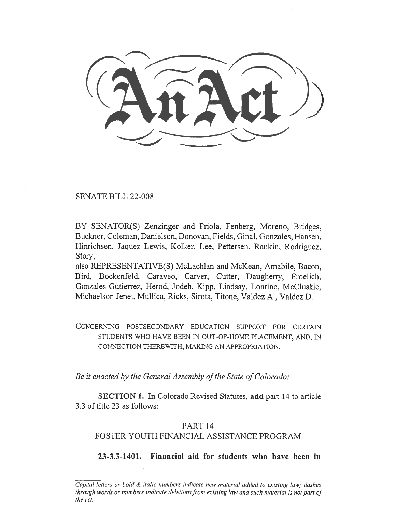# SENATE BILL 22-008

BY SENATOR(S) Zenzinger and Priola, Fenberg, Moreno, Bridges, Buckner, Coleman, Danielson, Donovan, Fields, Ginal, Gonzales, Hansen, Hinrichsen, Jaquez Lewis, Kolker, Lee, Pettersen, Rankin, Rodriguez, Story;

also REPRESENTATIVE(S) McLachlan and McKean, Amabile, Bacon, Bird, Bockenfeld, Caraveo, Carver, Cutter, Daugherty, Froelich, Gonzales-Gutierrez, Herod, Jodeh, Kipp, Lindsay, Lontine, McCluskie, Michaelson Jenet, Mullica, Ricks, Sirota, Titone, Valdez A., Valdez D.

CONCERNING POSTSECONDARY EDUCATION SUPPORT FOR CERTAIN STUDENTS WHO HAVE BEEN IN OUT-OF-HOME PLACEMENT, AND, IN CONNECTION THEREWITH, MAKING AN APPROPRIATION.

Be it enacted by the General Assembly of the State of Colorado:

SECTION 1. In Colorado Revised Statutes, add part 14 to article 3.3 of title 23 as follows:

### PART 14

# FOSTER YOUTH FINANCIAL ASSISTANCE PROGRAM

23-3.3-1401. Financial aid for students who have been in

Capital letters or bold & italic numbers indicate new material added to existing law; dashes through words or numbers indicate deletions from existing law and such material is not part of the act.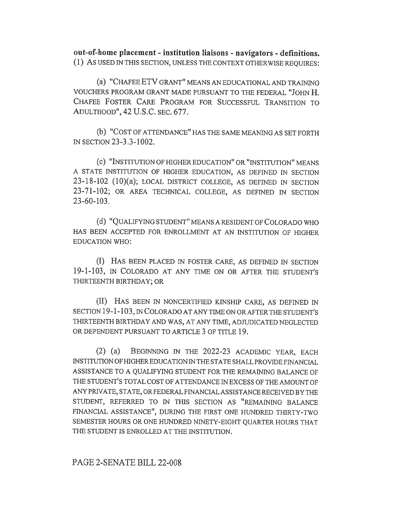out-of-home placement - institution liaisons - navigators - definitions. (1) AS USED IN THIS SECTION, UNLESS THE CONTEXT OTHERWISE REQUIRES:

(a) "CHAFEE ETV GRANT" MEANS AN EDUCATIONAL AND TRAINING VOUCHERS PROGRAM GRANT MADE PURSUANT TO THE FEDERAL "JOHN H. CHAFEE FOSTER CARE PROGRAM FOR SUCCESSFUL TRANSITION TO ADULTHOOD", 42 U.S.C. SEC. 677.

(b) "COST OF ATTENDANCE" HAS THE SAME MEANING AS SET FORTH IN SECTION 23-3.3-1002.

(C) "INSTITUTION OF HIGHER EDUCATION" OR "INSTITUTION" MEANS A STATE INSTITUTION OF HIGHER EDUCATION, AS DEFINED IN SECTION 23-18-102 (10)(a); LOCAL DISTRICT COLLEGE, AS DEFINED IN SECTION 23-71-102; OR AREA TECHNICAL COLLEGE, AS DEFINED IN SECTION 23-60-103.

(d) "QUALIFYING STUDENT" MEANS A RESIDENT OF COLORADO WHO HAS BEEN ACCEPTED FOR ENROLLMENT AT AN INSTITUTION OF HIGHER EDUCATION WHO:

(I) HAS BEEN PLACED IN FOSTER CARE, AS DEFINED IN SECTION 19-1-103, IN COLORADO AT ANY TIME ON OR AFTER THE STUDENT'S THIRTEENTH BIRTHDAY; OR

(II) HAS BEEN IN NONCERTIFIED KINSHIP CARE, AS DEFINED IN SECTION 19-1-103, IN COLORADO AT ANY TIME ON OR AFTER THE STUDENT'S THIRTEENTH BIRTHDAY AND WAS, AT ANY TIME, ADJUDICATED NEGLECTED OR DEPENDENT PURSUANT TO ARTICLE 3 OF TITLE 19.

(2) (a) BEGINNING IN THE 2022-23 ACADEMIC YEAR, EACH INSTITUTION OF HIGHER EDUCATION IN THE STATE SHALL PROVIDE FINANCIAL ASSISTANCE TO A QUALIFYING STUDENT FOR THE REMAINING BALANCE OF THE STUDENT'S TOTAL COST OF ATTENDANCE IN EXCESS OF THE AMOUNT OF ANY PRIVATE, STATE, OR FEDERAL FINANCIAL ASSISTANCE RECEIVED BY THE STUDENT, REFERRED TO IN THIS SECTION AS "REMAINING BALANCE FINANCIAL ASSISTANCE", DURING THE FIRST ONE HUNDRED THIRTY-TWO SEMESTER HOURS OR ONE HUNDRED NINETY-EIGHT QUARTER HOURS THAT THE STUDENT IS ENROLLED AT THE INSTITUTION.

#### PAGE 2-SENATE BILL 22-008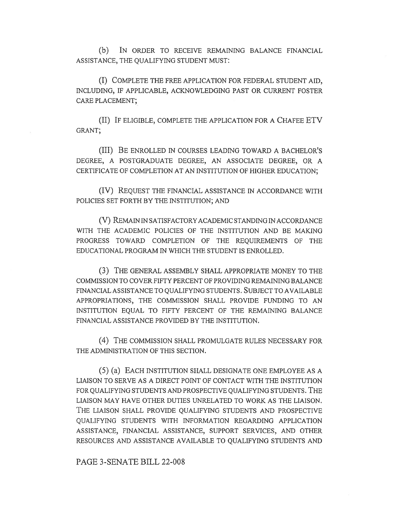(b) IN ORDER TO RECEIVE REMAINING BALANCE FINANCIAL ASSISTANCE, THE QUALIFYING STUDENT MUST:

(I) COMPLETE THE FREE APPLICATION FOR FEDERAL STUDENT AID, INCLUDING, IF APPLICABLE, ACKNOWLEDGING PAST OR CURRENT FOSTER CARE PLACEMENT;

(II) IF ELIGIBLE, COMPLETE THE APPLICATION FOR A CHAFEE ETV GRANT;

(III) BE ENROLLED IN COURSES LEADING TOWARD A BACHELOR'S DEGREE, A POSTGRADUATE DEGREE, AN ASSOCIATE DEGREE, OR A CERTIFICATE OF COMPLETION AT AN INSTITUTION OF HIGHER EDUCATION;

(IV) REQUEST THE FINANCIAL ASSISTANCE IN ACCORDANCE WITH POLICIES SET FORTH BY THE INSTITUTION; AND

(V) REMAIN IN SATISFACTORY ACADEMIC STANDING IN ACCORDANCE WITH THE ACADEMIC POLICIES OF THE INSTITUTION AND BE MAKING PROGRESS TOWARD COMPLETION OF THE REQUIREMENTS OF THE EDUCATIONAL PROGRAM IN WHICH THE STUDENT IS ENROLLED.

(3) THE GENERAL ASSEMBLY SHALL APPROPRIATE MONEY TO THE COMMISSION TO COVER FIFTY PERCENT OF PROVIDING REMAINING BALANCE FINANCIAL ASSISTANCE TO QUALIFYING STUDENTS. SUBJECT TO AVAILABLE APPROPRIATIONS, THE COMMISSION SHALL PROVIDE FUNDING TO AN INSTITUTION EQUAL TO FIFTY PERCENT OF THE REMAINING BALANCE FINANCIAL ASSISTANCE PROVIDED BY THE INSTITUTION.

(4) THE COMMISSION SHALL PROMULGATE RULES NECESSARY FOR THE ADMINISTRATION OF THIS SECTION.

(5) (a) EACH INSTITUTION SHALL DESIGNATE ONE EMPLOYEE AS A LIAISON TO SERVE AS A DIRECT POINT OF CONTACT WITH THE INSTITUTION FOR QUALIFYING STUDENTS AND PROSPECTIVE QUALIFYING STUDENTS. THE LIAISON MAY HAVE OTHER DUTIES UNRELATED TO WORK AS THE LIAISON. THE LIAISON SHALL PROVIDE QUALIFYING STUDENTS AND PROSPECTIVE QUALIFYING STUDENTS WITH INFORMATION REGARDING APPLICATION ASSISTANCE, FINANCIAL ASSISTANCE, SUPPORT SERVICES, AND OTHER RESOURCES AND ASSISTANCE AVAILABLE TO QUALIFYING STUDENTS AND

PAGE 3-SENATE BILL 22-008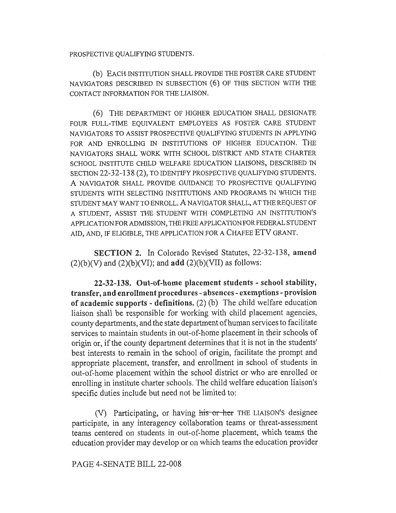PROSPECTIVE QUALIFYING STUDENTS.

(b) EACH INSTITUTION SHALL PROVIDE THE FOSTER CARE STUDENT NAVIGATORS DESCRIBED IN SUBSECTION (6) OF THIS SECTION WITH THE CONTACT INFORMATION FOR THE LIAISON.

(6) THE DEPARTMENT OF HIGHER EDUCATION SHALL DESIGNATE FOUR FULL-TIME EQUIVALENT EMPLOYEES AS FOSTER CARE STUDENT NAVIGATORS TO ASSIST PROSPECTIVE QUALIFYING STUDENTS IN APPLYING FOR AND ENROLLING IN INSTITUTIONS OF HIGHER EDUCATION. THE NAVIGATORS SHALL WORK WITH SCHOOL DISTRICT AND STATE CHARTER SCHOOL INSTITUTE CHILD WELFARE EDUCATION LIAISONS, DESCRIBED IN SECTION 22-32-138 (2), TO IDENTIFY PROSPECTIVE QUALIFYING STUDENTS. A NAVIGATOR SHALL PROVIDE GUIDANCE TO PROSPECTIVE QUALIFYING STUDENTS WITH SELECTING INSTITUTIONS AND PROGRAMS IN WHICH THE STUDENT MAY WANT TO ENROLL. A NAVIGATOR SHALL, AT THE REQUEST OF A STUDENT, ASSIST THE STUDENT WITH COMPLETING AN INSTITUTION'S APPLICATION FOR ADMISSION, THE FREE APPLICATION FOR FEDERAL STUDENT AID, AND, IF ELIGIBLE, THE APPLICATION FOR A CHAFEE ETV GRANT.

SECTION 2. In Colorado Revised Statutes, 22-32-138, amend  $(2)(b)(V)$  and  $(2)(b)(VI)$ ; and  $add$   $(2)(b)(VII)$  as follows:

22-32-138. Out-of-home placement students - school stability, transfer, and enrollment procedures - absences - exemptions - provision of academic supports - definitions. (2) (b) The child welfare education liaison shall be responsible for working with child placement agencies, county departments, and the state department of human services to facilitate services to maintain students in out-of-home placement in their schools of origin or, if the county department determines that it is not in the students' best interests to remain in the school of origin, facilitate the prompt and appropriate placement, transfer, and enrollment in school of students in out-of-home placement within the school district or who are enrolled or enrolling in institute charter schools. The child welfare education liaison's specific duties include but need not be limited to:

(V) Participating, or having his or her THE LIAISON's designee participate, in any interagency collaboration teams or threat-assessment teams centered on students in out-of-home placement, which teams the education provider may develop or on which teams the education provider

PAGE 4-SENATE BILL 22-008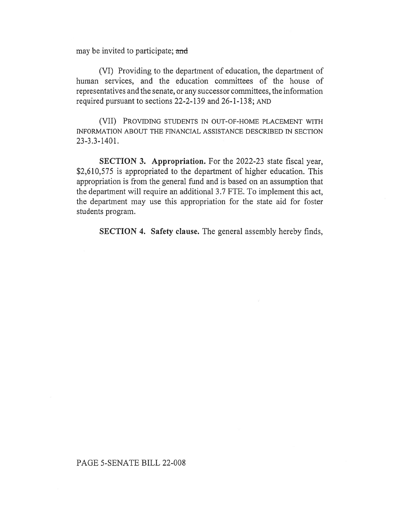may be invited to participate; and

(VI) Providing to the department of education, the department of human services, and the education committees of the house of representatives and the senate, or any successor committees, the information required pursuant to sections 22-2-139 and 26-1-138; AND

(VII) PROVIDING STUDENTS IN OUT-OF-HOME PLACEMENT WITH INFORMATION ABOUT THE FINANCIAL ASSISTANCE DESCRIBED IN SECTION 23-3.3-1401.

SECTION 3. Appropriation. For the 2022-23 state fiscal year, \$2,610,575 is appropriated to the department of higher education. This appropriation is from the general fund and is based on an assumption that the department will require an additional 3.7 FTE. To implement this act, the department may use this appropriation for the state aid for foster students program.

SECTION 4. Safety clause. The general assembly hereby finds,

#### PAGE 5-SENATE BILL 22-008